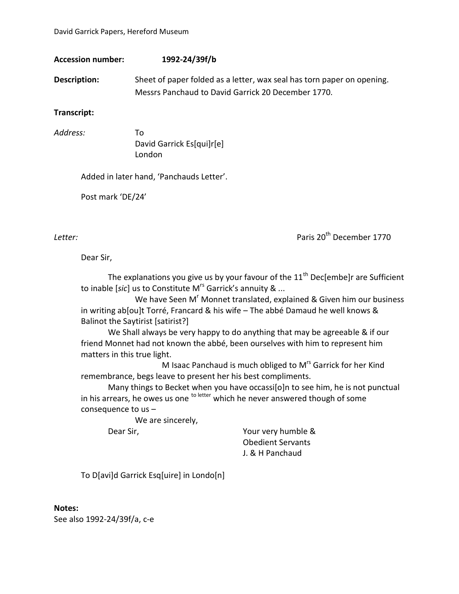| Accession number:   | 1992-24/39f/b                                                          |
|---------------------|------------------------------------------------------------------------|
| <b>Description:</b> | Sheet of paper folded as a letter, wax seal has torn paper on opening. |
|                     | Messrs Panchaud to David Garrick 20 December 1770.                     |

**Transcript:**

*Address:* To David Garrick Es[qui]r[e] London

Added in later hand, 'Panchauds Letter'.

Post mark 'DE/24'

*Letter:* Paris 20th December 1770

Dear Sir,

The explanations you give us by your favour of the  $11<sup>th</sup>$  Dec[embe]r are Sufficient to inable [*sic*] us to Constitute M<sup>rs</sup> Garrick's annuity & ...

We have Seen M<sup>r</sup> Monnet translated, explained & Given him our business in writing ab[ou]t Torré, Francard & his wife – The abbé Damaud he well knows & Balinot the Saytirist [satirist?]

We Shall always be very happy to do anything that may be agreeable & if our friend Monnet had not known the abbé, been ourselves with him to represent him matters in this true light.

M Isaac Panchaud is much obliged to M<sup>rs</sup> Garrick for her Kind remembrance, begs leave to present her his best compliments.

Many things to Becket when you have occassi[o]n to see him, he is not punctual in his arrears, he owes us one  $t^{\text{other}}$  which he never answered though of some consequence to us –

We are sincerely,

Dear Sir, Nour very humble & Obedient Servants J. & H Panchaud

To D[avi]d Garrick Esq[uire] in Londo[n]

**Notes:** See also 1992-24/39f/a, c-e